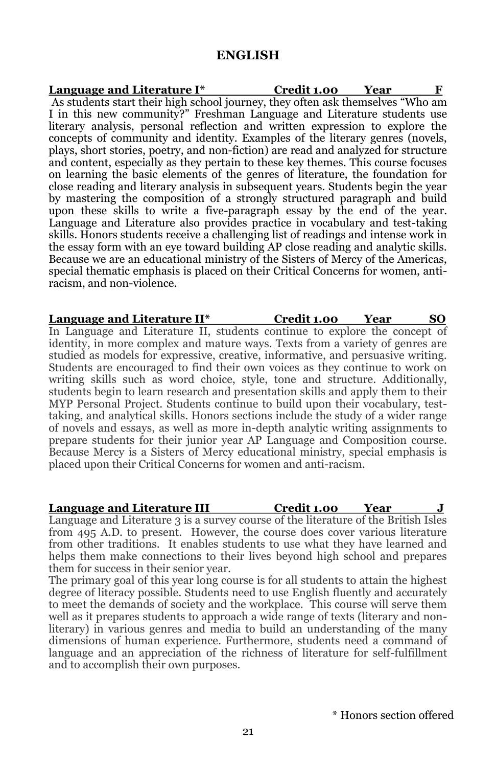## **ENGLISH**

**Language and Literature I\* Credit 1.00 Year F** As students start their high school journey, they often ask themselves "Who am I in this new community?" Freshman Language and Literature students use literary analysis, personal reflection and written expression to explore the concepts of community and identity. Examples of the literary genres (novels, plays, short stories, poetry, and non-fiction) are read and analyzed for structure and content, especially as they pertain to these key themes. This course focuses on learning the basic elements of the genres of literature, the foundation for close reading and literary analysis in subsequent years. Students begin the year by mastering the composition of a strongly structured paragraph and build upon these skills to write a five-paragraph essay by the end of the year. Language and Literature also provides practice in vocabulary and test-taking skills. Honors students receive a challenging list of readings and intense work in the essay form with an eye toward building AP close reading and analytic skills. Because we are an educational ministry of the Sisters of Mercy of the Americas, special thematic emphasis is placed on their Critical Concerns for women, antiracism, and non-violence.

**Language and Literature II\* Credit 1.00 Year SO** In Language and Literature II, students continue to explore the concept of identity, in more complex and mature ways. Texts from a variety of genres are studied as models for expressive, creative, informative, and persuasive writing. Students are encouraged to find their own voices as they continue to work on writing skills such as word choice, style, tone and structure. Additionally, students begin to learn research and presentation skills and apply them to their MYP Personal Project. Students continue to build upon their vocabulary, testtaking, and analytical skills. Honors sections include the study of a wider range of novels and essays, as well as more in-depth analytic writing assignments to prepare students for their junior year AP Language and Composition course. Because Mercy is a Sisters of Mercy educational ministry, special emphasis is placed upon their Critical Concerns for women and anti-racism.

**Language and Literature III Credit 1.00 Year** Language and Literature 3 is a survey course of the literature of the British Isles from 495 A.D. to present. However, the course does cover various literature from other traditions. It enables students to use what they have learned and helps them make connections to their lives beyond high school and prepares them for success in their senior year.

The primary goal of this year long course is for all students to attain the highest degree of literacy possible. Students need to use English fluently and accurately to meet the demands of society and the workplace. This course will serve them well as it prepares students to approach a wide range of texts (literary and nonliterary) in various genres and media to build an understanding of the many dimensions of human experience. Furthermore, students need a command of language and an appreciation of the richness of literature for self-fulfillment and to accomplish their own purposes.

\* Honors section offered